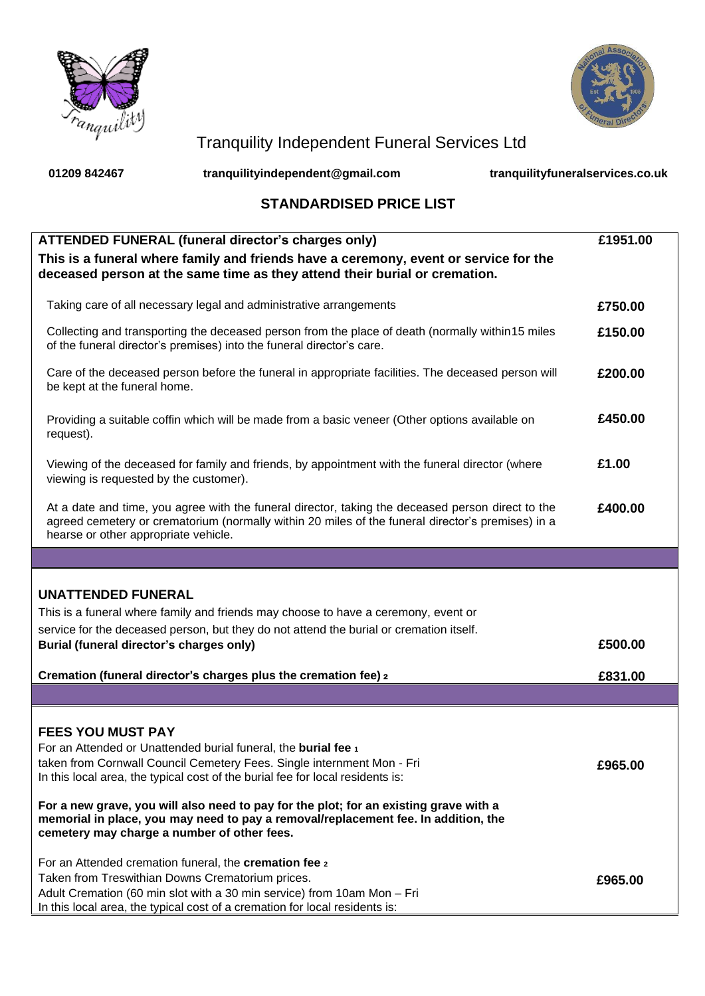



## Tranquility Independent Funeral Services Ltd

**01209 842467 tranquilityindependent@gmail.com tranquilityfuneralservices.co.uk**

## **STANDARDISED PRICE LIST**

| <b>ATTENDED FUNERAL (funeral director's charges only)</b><br>This is a funeral where family and friends have a ceremony, event or service for the<br>deceased person at the same time as they attend their burial or cremation.                        | £1951.00 |
|--------------------------------------------------------------------------------------------------------------------------------------------------------------------------------------------------------------------------------------------------------|----------|
| Taking care of all necessary legal and administrative arrangements                                                                                                                                                                                     | £750.00  |
| Collecting and transporting the deceased person from the place of death (normally within 15 miles<br>of the funeral director's premises) into the funeral director's care.                                                                             | £150.00  |
| Care of the deceased person before the funeral in appropriate facilities. The deceased person will<br>be kept at the funeral home.                                                                                                                     | £200.00  |
| Providing a suitable coffin which will be made from a basic veneer (Other options available on<br>request).                                                                                                                                            | £450.00  |
| Viewing of the deceased for family and friends, by appointment with the funeral director (where<br>viewing is requested by the customer).                                                                                                              | £1.00    |
| At a date and time, you agree with the funeral director, taking the deceased person direct to the<br>agreed cemetery or crematorium (normally within 20 miles of the funeral director's premises) in a<br>hearse or other appropriate vehicle.         | £400.00  |
|                                                                                                                                                                                                                                                        |          |
| <b>UNATTENDED FUNERAL</b><br>This is a funeral where family and friends may choose to have a ceremony, event or<br>service for the deceased person, but they do not attend the burial or cremation itself.<br>Burial (funeral director's charges only) | £500.00  |
| Cremation (funeral director's charges plus the cremation fee) 2                                                                                                                                                                                        | £831.00  |
|                                                                                                                                                                                                                                                        |          |
| <b>FEES YOU MUST PAY</b><br>For an Attended or Unattended burial funeral, the burial fee 1<br>taken from Cornwall Council Cemetery Fees. Single internment Mon - Fri<br>In this local area, the typical cost of the burial fee for local residents is: | £965.00  |
| For a new grave, you will also need to pay for the plot; for an existing grave with a<br>memorial in place, you may need to pay a removal/replacement fee. In addition, the                                                                            |          |
| cemetery may charge a number of other fees.<br>For an Attended cremation funeral, the cremation fee 2<br>Taken from Treswithian Downs Crematorium prices.<br>Adult Cremation (60 min slot with a 30 min service) from 10am Mon - Fri                   | £965.00  |